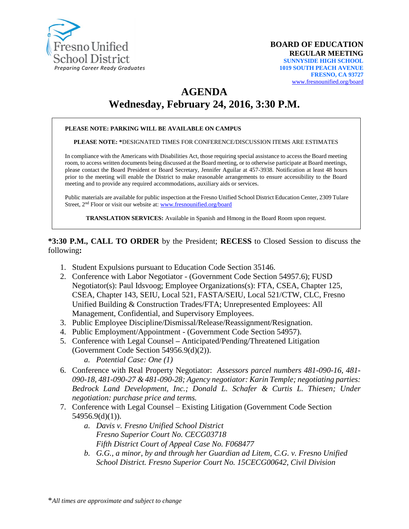

# **AGENDA Wednesday, February 24, 2016, 3:30 P.M.**

#### **PLEASE NOTE: PARKING WILL BE AVAILABLE ON CAMPUS**

**PLEASE NOTE: \***DESIGNATED TIMES FOR CONFERENCE/DISCUSSION ITEMS ARE ESTIMATES

In compliance with the Americans with Disabilities Act, those requiring special assistance to access the Board meeting room, to access written documents being discussed at the Board meeting, or to otherwise participate at Board meetings, please contact the Board President or Board Secretary, Jennifer Aguilar at 457-3938. Notification at least 48 hours prior to the meeting will enable the District to make reasonable arrangements to ensure accessibility to the Board meeting and to provide any required accommodations, auxiliary aids or services.

Public materials are available for public inspection at the Fresno Unified School District Education Center, 2309 Tulare Street, 2nd Floor or visit our website at: [www.fresnounified.org/board](http://www.fresnounified.org/board)

**TRANSLATION SERVICES:** Available in Spanish and Hmong in the Board Room upon request.

**\*3:30 P.M., CALL TO ORDER** by the President; **RECESS** to Closed Session to discuss the following**:**

- 1. Student Expulsions pursuant to Education Code Section 35146.
- 2. Conference with Labor Negotiator (Government Code Section 54957.6); FUSD Negotiator(s): Paul Idsvoog; Employee Organizations(s): FTA, CSEA, Chapter 125, CSEA, Chapter 143, SEIU, Local 521, FASTA/SEIU, Local 521/CTW, CLC, Fresno Unified Building & Construction Trades/FTA; Unrepresented Employees: All Management, Confidential, and Supervisory Employees.
- 3. Public Employee Discipline/Dismissal/Release/Reassignment/Resignation.
- 4. Public Employment/Appointment (Government Code Section 54957).
- 5. Conference with Legal Counsel **–** Anticipated/Pending/Threatened Litigation (Government Code Section 54956.9(d)(2)).
	- *a. Potential Case: One (1)*
- 6. Conference with Real Property Negotiator: *Assessors parcel numbers 481-090-16, 481- 090-18, 481-090-27 & 481-090-28; Agency negotiator: Karin Temple; negotiating parties: Bedrock Land Development, Inc.; Donald L. Schafer & Curtis L. Thiesen; Under negotiation: purchase price and terms.*
- 7. Conference with Legal Counsel Existing Litigation (Government Code Section 54956.9(d)(1)).
	- *a. Davis v. Fresno Unified School District Fresno Superior Court No. CECG03718 Fifth District Court of Appeal Case No. F068477*
	- *b. G.G., a minor, by and through her Guardian ad Litem, C.G. v. Fresno Unified School District. Fresno Superior Court No. 15CECG00642, Civil Division*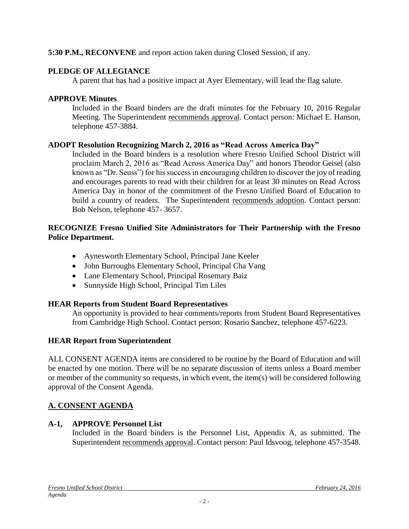### **5:30 P.M., RECONVENE** and report action taken during Closed Session, if any.

#### **PLEDGE OF ALLEGIANCE**

A parent that has had a positive impact at Ayer Elementary, will lead the flag salute.

#### **APPROVE Minutes**

Included in the Board binders are the draft minutes for the February 10, 2016 Regular Meeting. The Superintendent recommends approval. Contact person: Michael E. Hanson, telephone 457-3884.

#### **ADOPT Resolution Recognizing March 2, 2016 as "Read Across America Day"**

Included in the Board binders is a resolution where Fresno Unified School District will proclaim March 2, 2016 as "Read Across America Day" and honors Theodor Geisel (also known as "Dr. Seuss") for his success in encouraging children to discover the joy of reading and encourages parents to read with their children for at least 30 minutes on Read Across America Day in honor of the commitment of the Fresno Unified Board of Education to build a country of readers. The Superintendent recommends adoption. Contact person: Bob Nelson, telephone 457- 3657.

#### **RECOGNIZE Fresno Unified Site Administrators for Their Partnership with the Fresno Police Department.**

- Aynesworth Elementary School, Principal Jane Keeler
- John Burroughs Elementary School, Principal Cha Vang
- Lane Elementary School, Principal Rosemary Baiz
- Sunnyside High School, Principal Tim Liles

### **HEAR Reports from Student Board Representatives**

An opportunity is provided to hear comments/reports from Student Board Representatives from Cambridge High School. Contact person: Rosario Sanchez, telephone 457-6223.

### **HEAR Report from Superintendent**

ALL CONSENT AGENDA items are considered to be routine by the Board of Education and will be enacted by one motion. There will be no separate discussion of items unless a Board member or member of the community so requests, in which event, the item(s) will be considered following approval of the Consent Agenda.

### **A. CONSENT AGENDA**

#### **A-1, APPROVE Personnel List**

Included in the Board binders is the Personnel List, Appendix A, as submitted. The Superintendent recommends approval. Contact person: Paul Idsvoog, telephone 457-3548.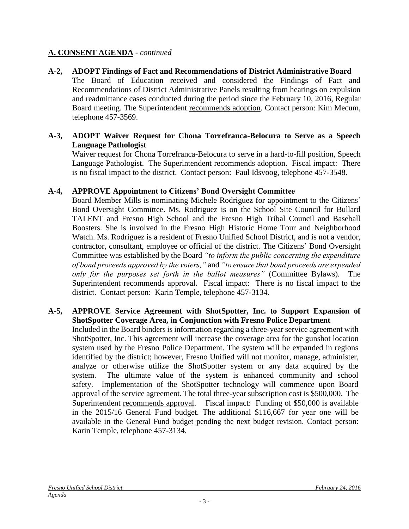#### **A-2, ADOPT Findings of Fact and Recommendations of District Administrative Board**

The Board of Education received and considered the Findings of Fact and Recommendations of District Administrative Panels resulting from hearings on expulsion and readmittance cases conducted during the period since the February 10, 2016, Regular Board meeting. The Superintendent recommends adoption. Contact person: Kim Mecum, telephone 457-3569.

#### **A-3, ADOPT Waiver Request for Chona Torrefranca-Belocura to Serve as a Speech Language Pathologist**

Waiver request for Chona Torrefranca-Belocura to serve in a hard-to-fill position, Speech Language Pathologist. The Superintendent recommends adoption. Fiscal impact: There is no fiscal impact to the district. Contact person: Paul Idsvoog, telephone 457-3548.

#### **A-4, APPROVE Appointment to Citizens' Bond Oversight Committee**

Board Member Mills is nominating Michele Rodriguez for appointment to the Citizens' Bond Oversight Committee. Ms. Rodriguez is on the School Site Council for Bullard TALENT and Fresno High School and the Fresno High Tribal Council and Baseball Boosters. She is involved in the Fresno High Historic Home Tour and Neighborhood Watch. Ms. Rodriguez is a resident of Fresno Unified School District, and is not a vendor, contractor, consultant, employee or official of the district. The Citizens' Bond Oversight Committee was established by the Board *"to inform the public concerning the expenditure of bond proceeds approved by the voters,"* and *"to ensure that bond proceeds are expended only for the purposes set forth in the ballot measures"* (Committee Bylaws)*.* The Superintendent recommends approval. Fiscal impact: There is no fiscal impact to the district. Contact person: Karin Temple, telephone 457-3134.

#### **A-5, APPROVE Service Agreement with ShotSpotter, Inc. to Support Expansion of ShotSpotter Coverage Area, in Conjunction with Fresno Police Department**

Included in the Board binders is information regarding a three-year service agreement with ShotSpotter, Inc. This agreement will increase the coverage area for the gunshot location system used by the Fresno Police Department. The system will be expanded in regions identified by the district; however, Fresno Unified will not monitor, manage, administer, analyze or otherwise utilize the ShotSpotter system or any data acquired by the system. The ultimate value of the system is enhanced community and school safety. Implementation of the ShotSpotter technology will commence upon Board approval of the service agreement. The total three-year subscription cost is \$500,000. The Superintendent recommends approval. Fiscal impact: Funding of \$50,000 is available in the 2015/16 General Fund budget. The additional \$116,667 for year one will be available in the General Fund budget pending the next budget revision. Contact person: Karin Temple, telephone 457-3134.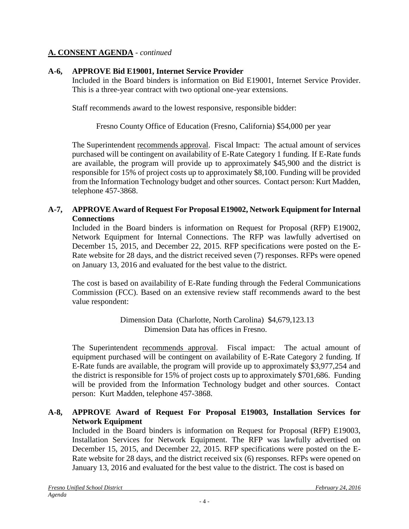### **A-6, APPROVE Bid E19001, Internet Service Provider**

Included in the Board binders is information on Bid E19001, Internet Service Provider. This is a three-year contract with two optional one-year extensions.

Staff recommends award to the lowest responsive, responsible bidder:

Fresno County Office of Education (Fresno, California) \$54,000 per year

The Superintendent recommends approval. Fiscal Impact: The actual amount of services purchased will be contingent on availability of E-Rate Category 1 funding. If E-Rate funds are available, the program will provide up to approximately \$45,900 and the district is responsible for 15% of project costs up to approximately \$8,100. Funding will be provided from the Information Technology budget and other sources. Contact person: Kurt Madden, telephone 457-3868.

### **A-7, APPROVE Award of Request For Proposal E19002, Network Equipment for Internal Connections**

Included in the Board binders is information on Request for Proposal (RFP) E19002, Network Equipment for Internal Connections. The RFP was lawfully advertised on December 15, 2015, and December 22, 2015. RFP specifications were posted on the E-Rate website for 28 days, and the district received seven (7) responses. RFPs were opened on January 13, 2016 and evaluated for the best value to the district.

The cost is based on availability of E-Rate funding through the Federal Communications Commission (FCC). Based on an extensive review staff recommends award to the best value respondent:

> Dimension Data (Charlotte, North Carolina) \$4,679,123.13 Dimension Data has offices in Fresno.

The Superintendent recommends approval. Fiscal impact: The actual amount of equipment purchased will be contingent on availability of E-Rate Category 2 funding. If E-Rate funds are available, the program will provide up to approximately \$3,977,254 and the district is responsible for 15% of project costs up to approximately \$701,686. Funding will be provided from the Information Technology budget and other sources. Contact person: Kurt Madden, telephone 457-3868.

### **A-8, APPROVE Award of Request For Proposal E19003, Installation Services for Network Equipment**

Included in the Board binders is information on Request for Proposal (RFP) E19003, Installation Services for Network Equipment. The RFP was lawfully advertised on December 15, 2015, and December 22, 2015. RFP specifications were posted on the E-Rate website for 28 days, and the district received six (6) responses. RFPs were opened on January 13, 2016 and evaluated for the best value to the district. The cost is based on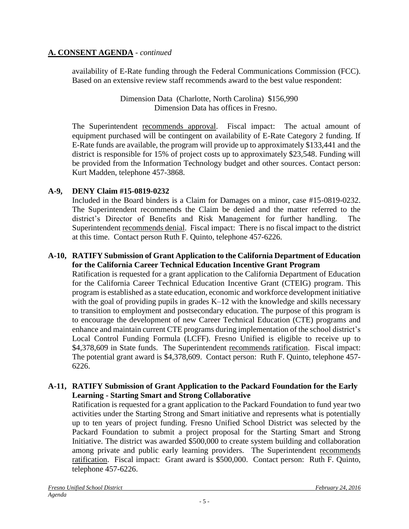availability of E-Rate funding through the Federal Communications Commission (FCC). Based on an extensive review staff recommends award to the best value respondent:

> Dimension Data (Charlotte, North Carolina) \$156,990 Dimension Data has offices in Fresno.

The Superintendent recommends approval. Fiscal impact: The actual amount of equipment purchased will be contingent on availability of E-Rate Category 2 funding. If E-Rate funds are available, the program will provide up to approximately \$133,441 and the district is responsible for 15% of project costs up to approximately \$23,548. Funding will be provided from the Information Technology budget and other sources. Contact person: Kurt Madden, telephone 457-3868.

### **A-9, DENY Claim #15-0819-0232**

Included in the Board binders is a Claim for Damages on a minor, case #15-0819-0232. The Superintendent recommends the Claim be denied and the matter referred to the district's Director of Benefits and Risk Management for further handling. The Superintendent recommends denial. Fiscal impact: There is no fiscal impact to the district at this time. Contact person Ruth F. Quinto, telephone 457-6226.

#### **A-10, RATIFY Submission of Grant Application to the California Department of Education for the California Career Technical Education Incentive Grant Program**

Ratification is requested for a grant application to the California Department of Education for the California Career Technical Education Incentive Grant (CTEIG) program. This program is established as a state education, economic and workforce development initiative with the goal of providing pupils in grades K–12 with the knowledge and skills necessary to transition to employment and postsecondary education. The purpose of this program is to encourage the development of new Career Technical Education (CTE) programs and enhance and maintain current CTE programs during implementation of the school district's Local Control Funding Formula (LCFF). Fresno Unified is eligible to receive up to \$4,378,609 in State funds. The Superintendent recommends ratification. Fiscal impact: The potential grant award is \$4,378,609. Contact person: Ruth F. Quinto, telephone 457- 6226.

#### **A-11, RATIFY Submission of Grant Application to the Packard Foundation for the Early Learning - Starting Smart and Strong Collaborative**

Ratification is requested for a grant application to the Packard Foundation to fund year two activities under the Starting Strong and Smart initiative and represents what is potentially up to ten years of project funding. Fresno Unified School District was selected by the Packard Foundation to submit a project proposal for the Starting Smart and Strong Initiative. The district was awarded \$500,000 to create system building and collaboration among private and public early learning providers. The Superintendent recommends ratification. Fiscal impact: Grant award is \$500,000. Contact person: Ruth F. Quinto, telephone 457-6226.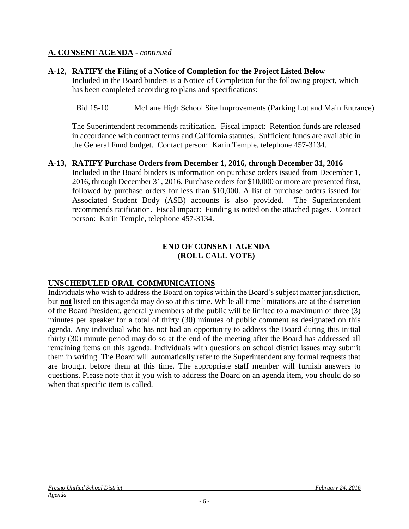#### **A-12, RATIFY the Filing of a Notice of Completion for the Project Listed Below**

Included in the Board binders is a Notice of Completion for the following project, which has been completed according to plans and specifications:

Bid 15-10 McLane High School Site Improvements (Parking Lot and Main Entrance)

The Superintendent recommends ratification. Fiscal impact:Retention funds are released in accordance with contract terms and California statutes. Sufficient funds are available in the General Fund budget. Contact person: Karin Temple, telephone 457-3134.

#### **A-13, RATIFY Purchase Orders from December 1, 2016, through December 31, 2016**

Included in the Board binders is information on purchase orders issued from December 1, 2016, through December 31, 2016. Purchase orders for \$10,000 or more are presented first, followed by purchase orders for less than \$10,000. A list of purchase orders issued for Associated Student Body (ASB) accounts is also provided. The Superintendent recommends ratification. Fiscal impact: Funding is noted on the attached pages. Contact person: Karin Temple, telephone 457-3134.

#### **END OF CONSENT AGENDA (ROLL CALL VOTE)**

### **UNSCHEDULED ORAL COMMUNICATIONS**

Individuals who wish to address the Board on topics within the Board's subject matter jurisdiction, but **not** listed on this agenda may do so at this time. While all time limitations are at the discretion of the Board President, generally members of the public will be limited to a maximum of three (3) minutes per speaker for a total of thirty (30) minutes of public comment as designated on this agenda. Any individual who has not had an opportunity to address the Board during this initial thirty (30) minute period may do so at the end of the meeting after the Board has addressed all remaining items on this agenda. Individuals with questions on school district issues may submit them in writing. The Board will automatically refer to the Superintendent any formal requests that are brought before them at this time. The appropriate staff member will furnish answers to questions. Please note that if you wish to address the Board on an agenda item, you should do so when that specific item is called.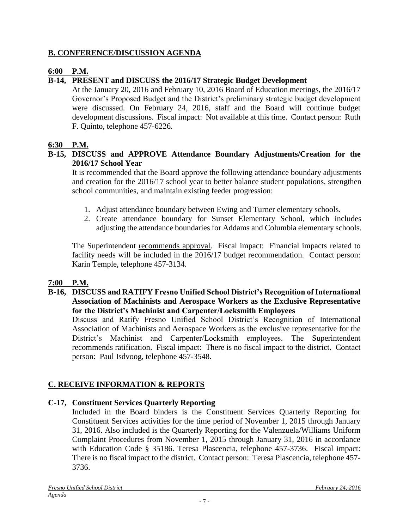### **B. CONFERENCE/DISCUSSION AGENDA**

### **6:00 P.M.**

### **B-14, PRESENT and DISCUSS the 2016/17 Strategic Budget Development**

At the January 20, 2016 and February 10, 2016 Board of Education meetings, the 2016/17 Governor's Proposed Budget and the District's preliminary strategic budget development were discussed. On February 24, 2016, staff and the Board will continue budget development discussions. Fiscal impact: Not available at this time. Contact person: Ruth F. Quinto, telephone 457-6226.

### **6:30 P.M.**

### **B-15, DISCUSS and APPROVE Attendance Boundary Adjustments/Creation for the 2016/17 School Year**

It is recommended that the Board approve the following attendance boundary adjustments and creation for the 2016/17 school year to better balance student populations, strengthen school communities, and maintain existing feeder progression:

- 1. Adjust attendance boundary between Ewing and Turner elementary schools.
- 2. Create attendance boundary for Sunset Elementary School, which includes adjusting the attendance boundaries for Addams and Columbia elementary schools.

The Superintendent recommends approval. Fiscal impact: Financial impacts related to facility needs will be included in the 2016/17 budget recommendation. Contact person: Karin Temple, telephone 457-3134.

### **7:00 P.M.**

**B-16, DISCUSS and RATIFY Fresno Unified School District's Recognition of International Association of Machinists and Aerospace Workers as the Exclusive Representative for the District's Machinist and Carpenter/Locksmith Employees**

Discuss and Ratify Fresno Unified School District's Recognition of International Association of Machinists and Aerospace Workers as the exclusive representative for the District's Machinist and Carpenter/Locksmith employees. The Superintendent recommends ratification. Fiscal impact: There is no fiscal impact to the district. Contact person: Paul Isdvoog, telephone 457-3548.

## **C. RECEIVE INFORMATION & REPORTS**

### **C-17, Constituent Services Quarterly Reporting**

Included in the Board binders is the Constituent Services Quarterly Reporting for Constituent Services activities for the time period of November 1, 2015 through January 31, 2016. Also included is the Quarterly Reporting for the Valenzuela/Williams Uniform Complaint Procedures from November 1, 2015 through January 31, 2016 in accordance with Education Code § 35186. Teresa Plascencia, telephone 457-3736. Fiscal impact: There is no fiscal impact to the district. Contact person: Teresa Plascencia, telephone 457- 3736.